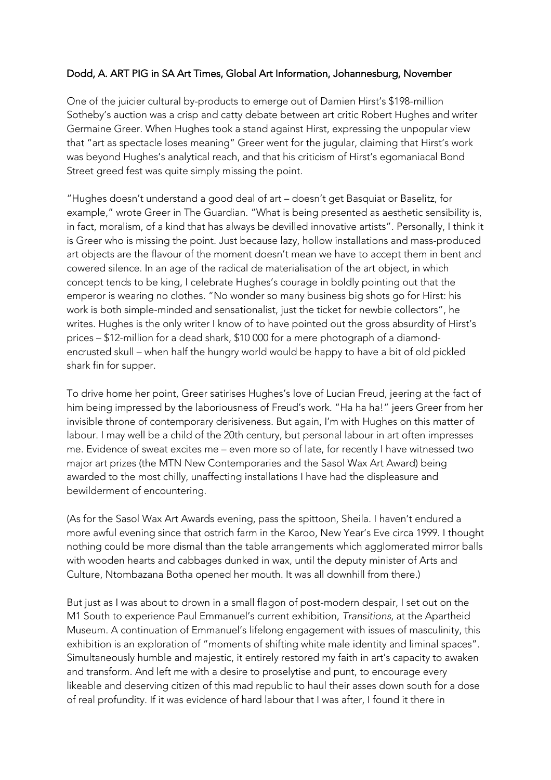## Dodd, A. ART PIG in SA Art Times, Global Art Information, Johannesburg, November

One of the juicier cultural by-products to emerge out of Damien Hirst's \$198-million Sotheby's auction was a crisp and catty debate between art critic Robert Hughes and writer Germaine Greer. When Hughes took a stand against Hirst, expressing the unpopular view that "art as spectacle loses meaning" Greer went for the jugular, claiming that Hirst's work was beyond Hughes's analytical reach, and that his criticism of Hirst's egomaniacal Bond Street greed fest was quite simply missing the point.

"Hughes doesn't understand a good deal of art – doesn't get Basquiat or Baselitz, for example," wrote Greer in The Guardian. "What is being presented as aesthetic sensibility is, in fact, moralism, of a kind that has always be devilled innovative artists". Personally, I think it is Greer who is missing the point. Just because lazy, hollow installations and mass-produced art objects are the flavour of the moment doesn't mean we have to accept them in bent and cowered silence. In an age of the radical de materialisation of the art object, in which concept tends to be king, I celebrate Hughes's courage in boldly pointing out that the emperor is wearing no clothes. "No wonder so many business big shots go for Hirst: his work is both simple-minded and sensationalist, just the ticket for newbie collectors", he writes. Hughes is the only writer I know of to have pointed out the gross absurdity of Hirst's prices – \$12-million for a dead shark, \$10 000 for a mere photograph of a diamondencrusted skull – when half the hungry world would be happy to have a bit of old pickled shark fin for supper.

To drive home her point, Greer satirises Hughes's love of Lucian Freud, jeering at the fact of him being impressed by the laboriousness of Freud's work. "Ha ha ha!" jeers Greer from her invisible throne of contemporary derisiveness. But again, I'm with Hughes on this matter of labour. I may well be a child of the 20th century, but personal labour in art often impresses me. Evidence of sweat excites me – even more so of late, for recently I have witnessed two major art prizes (the MTN New Contemporaries and the Sasol Wax Art Award) being awarded to the most chilly, unaffecting installations I have had the displeasure and bewilderment of encountering.

(As for the Sasol Wax Art Awards evening, pass the spittoon, Sheila. I haven't endured a more awful evening since that ostrich farm in the Karoo, New Year's Eve circa 1999. I thought nothing could be more dismal than the table arrangements which agglomerated mirror balls with wooden hearts and cabbages dunked in wax, until the deputy minister of Arts and Culture, Ntombazana Botha opened her mouth. It was all downhill from there.)

But just as I was about to drown in a small flagon of post-modern despair, I set out on the M1 South to experience Paul Emmanuel's current exhibition, *Transitions*, at the Apartheid Museum. A continuation of Emmanuel's lifelong engagement with issues of masculinity, this exhibition is an exploration of "moments of shifting white male identity and liminal spaces". Simultaneously humble and majestic, it entirely restored my faith in art's capacity to awaken and transform. And left me with a desire to proselytise and punt, to encourage every likeable and deserving citizen of this mad republic to haul their asses down south for a dose of real profundity. If it was evidence of hard labour that I was after, I found it there in